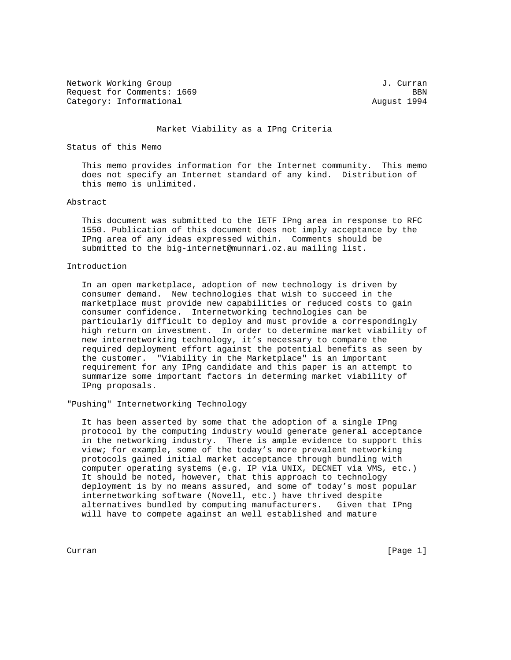Network Working Group J. Curran Request for Comments: 1669 BBN Category: Informational and August 1994

#### Market Viability as a IPng Criteria

# Status of this Memo

 This memo provides information for the Internet community. This memo does not specify an Internet standard of any kind. Distribution of this memo is unlimited.

### Abstract

 This document was submitted to the IETF IPng area in response to RFC 1550. Publication of this document does not imply acceptance by the IPng area of any ideas expressed within. Comments should be submitted to the big-internet@munnari.oz.au mailing list.

# Introduction

 In an open marketplace, adoption of new technology is driven by consumer demand. New technologies that wish to succeed in the marketplace must provide new capabilities or reduced costs to gain consumer confidence. Internetworking technologies can be particularly difficult to deploy and must provide a correspondingly high return on investment. In order to determine market viability of new internetworking technology, it's necessary to compare the required deployment effort against the potential benefits as seen by the customer. "Viability in the Marketplace" is an important requirement for any IPng candidate and this paper is an attempt to summarize some important factors in determing market viability of IPng proposals.

"Pushing" Internetworking Technology

 It has been asserted by some that the adoption of a single IPng protocol by the computing industry would generate general acceptance in the networking industry. There is ample evidence to support this view; for example, some of the today's more prevalent networking protocols gained initial market acceptance through bundling with computer operating systems (e.g. IP via UNIX, DECNET via VMS, etc.) It should be noted, however, that this approach to technology deployment is by no means assured, and some of today's most popular internetworking software (Novell, etc.) have thrived despite alternatives bundled by computing manufacturers. Given that IPng will have to compete against an well established and mature

Curran [Page 1]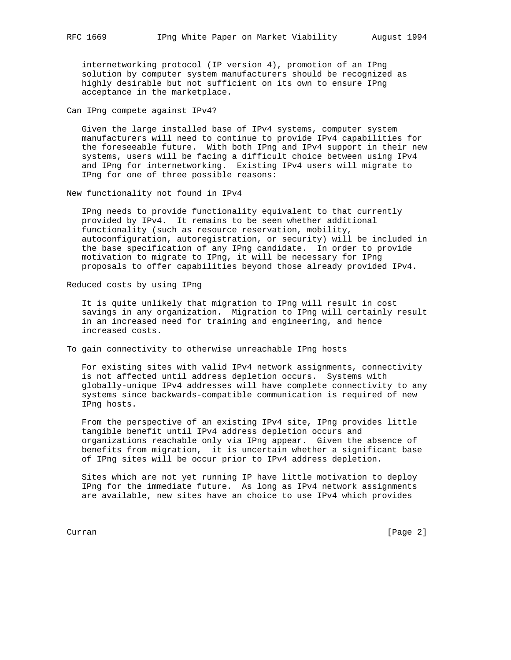internetworking protocol (IP version 4), promotion of an IPng solution by computer system manufacturers should be recognized as highly desirable but not sufficient on its own to ensure IPng acceptance in the marketplace.

Can IPng compete against IPv4?

 Given the large installed base of IPv4 systems, computer system manufacturers will need to continue to provide IPv4 capabilities for the foreseeable future. With both IPng and IPv4 support in their new systems, users will be facing a difficult choice between using IPv4 and IPng for internetworking. Existing IPv4 users will migrate to IPng for one of three possible reasons:

New functionality not found in IPv4

 IPng needs to provide functionality equivalent to that currently provided by IPv4. It remains to be seen whether additional functionality (such as resource reservation, mobility, autoconfiguration, autoregistration, or security) will be included in the base specification of any IPng candidate. In order to provide motivation to migrate to IPng, it will be necessary for IPng proposals to offer capabilities beyond those already provided IPv4.

Reduced costs by using IPng

 It is quite unlikely that migration to IPng will result in cost savings in any organization. Migration to IPng will certainly result in an increased need for training and engineering, and hence increased costs.

To gain connectivity to otherwise unreachable IPng hosts

 For existing sites with valid IPv4 network assignments, connectivity is not affected until address depletion occurs. Systems with globally-unique IPv4 addresses will have complete connectivity to any systems since backwards-compatible communication is required of new IPng hosts.

 From the perspective of an existing IPv4 site, IPng provides little tangible benefit until IPv4 address depletion occurs and organizations reachable only via IPng appear. Given the absence of benefits from migration, it is uncertain whether a significant base of IPng sites will be occur prior to IPv4 address depletion.

 Sites which are not yet running IP have little motivation to deploy IPng for the immediate future. As long as IPv4 network assignments are available, new sites have an choice to use IPv4 which provides

Curran [Page 2]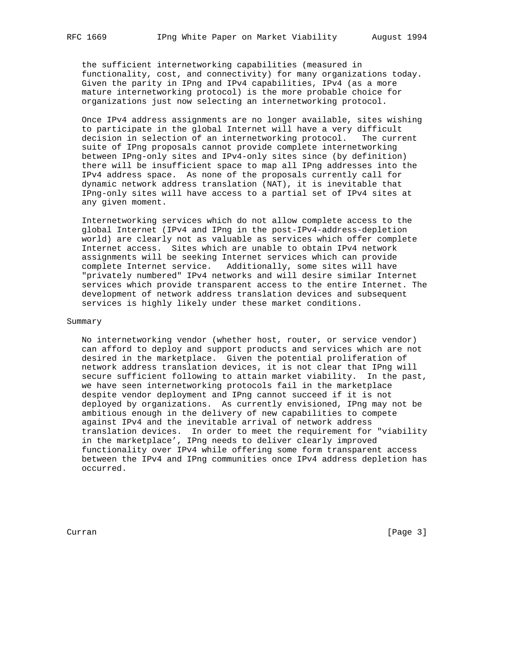the sufficient internetworking capabilities (measured in functionality, cost, and connectivity) for many organizations today. Given the parity in IPng and IPv4 capabilities, IPv4 (as a more mature internetworking protocol) is the more probable choice for organizations just now selecting an internetworking protocol.

 Once IPv4 address assignments are no longer available, sites wishing to participate in the global Internet will have a very difficult decision in selection of an internetworking protocol. The current suite of IPng proposals cannot provide complete internetworking between IPng-only sites and IPv4-only sites since (by definition) there will be insufficient space to map all IPng addresses into the IPv4 address space. As none of the proposals currently call for dynamic network address translation (NAT), it is inevitable that IPng-only sites will have access to a partial set of IPv4 sites at any given moment.

 Internetworking services which do not allow complete access to the global Internet (IPv4 and IPng in the post-IPv4-address-depletion world) are clearly not as valuable as services which offer complete Internet access. Sites which are unable to obtain IPv4 network assignments will be seeking Internet services which can provide complete Internet service. Additionally, some sites will have "privately numbered" IPv4 networks and will desire similar Internet services which provide transparent access to the entire Internet. The development of network address translation devices and subsequent services is highly likely under these market conditions.

# Summary

 No internetworking vendor (whether host, router, or service vendor) can afford to deploy and support products and services which are not desired in the marketplace. Given the potential proliferation of network address translation devices, it is not clear that IPng will secure sufficient following to attain market viability. In the past, we have seen internetworking protocols fail in the marketplace despite vendor deployment and IPng cannot succeed if it is not deployed by organizations. As currently envisioned, IPng may not be ambitious enough in the delivery of new capabilities to compete against IPv4 and the inevitable arrival of network address translation devices. In order to meet the requirement for "viability in the marketplace', IPng needs to deliver clearly improved functionality over IPv4 while offering some form transparent access between the IPv4 and IPng communities once IPv4 address depletion has occurred.

Curran [Page 3]